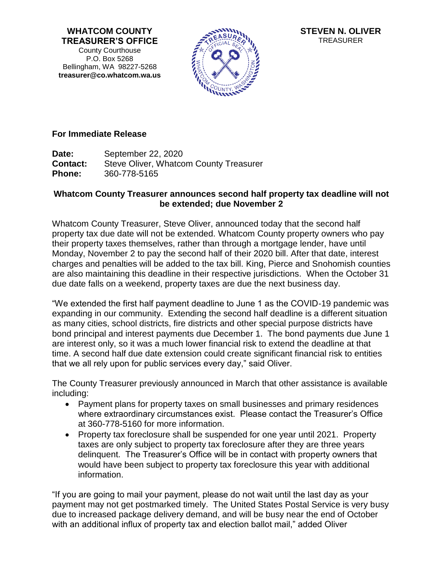**WHATCOM COUNTY TREASURER'S OFFICE** County Courthouse P.O. Box 5268 Bellingham, WA 98227-5268 **treasurer@co.whatcom.wa.us**



**STEVEN N. OLIVER** TREASURER

## **For Immediate Release**

**Date:** September 22, 2020 **Contact:** Steve Oliver, Whatcom County Treasurer **Phone:** 360-778-5165

## **Whatcom County Treasurer announces second half property tax deadline will not be extended; due November 2**

Whatcom County Treasurer, Steve Oliver, announced today that the second half property tax due date will not be extended. Whatcom County property owners who pay their property taxes themselves, rather than through a mortgage lender, have until Monday, November 2 to pay the second half of their 2020 bill. After that date, interest charges and penalties will be added to the tax bill. King, Pierce and Snohomish counties are also maintaining this deadline in their respective jurisdictions. When the October 31 due date falls on a weekend, property taxes are due the next business day.

"We extended the first half payment deadline to June 1 as the COVID-19 pandemic was expanding in our community. Extending the second half deadline is a different situation as many cities, school districts, fire districts and other special purpose districts have bond principal and interest payments due December 1. The bond payments due June 1 are interest only, so it was a much lower financial risk to extend the deadline at that time. A second half due date extension could create significant financial risk to entities that we all rely upon for public services every day," said Oliver.

The County Treasurer previously announced in March that other assistance is available including:

- Payment plans for property taxes on small businesses and primary residences where extraordinary circumstances exist. Please contact the Treasurer's Office at 360-778-5160 for more information.
- Property tax foreclosure shall be suspended for one year until 2021. Property taxes are only subject to property tax foreclosure after they are three years delinquent. The Treasurer's Office will be in contact with property owners that would have been subject to property tax foreclosure this year with additional information.

"If you are going to mail your payment, please do not wait until the last day as your payment may not get postmarked timely. The United States Postal Service is very busy due to increased package delivery demand, and will be busy near the end of October with an additional influx of property tax and election ballot mail," added Oliver